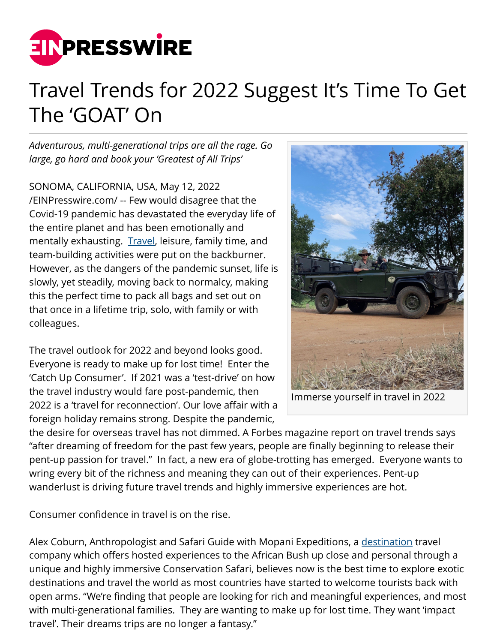

## Travel Trends for 2022 Suggest It's Time To Get The 'GOAT' On

*Adventurous, multi-generational trips are all the rage. Go large, go hard and book your 'Greatest of All Trips'*

SONOMA, CALIFORNIA, USA, May 12, 2022 [/EINPresswire.com/](http://www.einpresswire.com) -- Few would disagree that the Covid-19 pandemic has devastated the everyday life of the entire planet and has been emotionally and mentally exhausting. [Travel,](http://www.mopaniexpeditions.com/) leisure, family time, and team-building activities were put on the backburner. However, as the dangers of the pandemic sunset, life is slowly, yet steadily, moving back to normalcy, making this the perfect time to pack all bags and set out on that once in a lifetime trip, solo, with family or with colleagues.

The travel outlook for 2022 and beyond looks good. Everyone is ready to make up for lost time! Enter the 'Catch Up Consumer'. If 2021 was a 'test-drive' on how the travel industry would fare post-pandemic, then 2022 is a 'travel for reconnection'. Our love affair with a foreign holiday remains strong. Despite the pandemic,



Immerse yourself in travel in 2022

the desire for overseas travel has not dimmed. A Forbes magazine report on travel trends says "after dreaming of freedom for the past few years, people are finally beginning to release their pent-up passion for travel." In fact, a new era of globe-trotting has emerged. Everyone wants to wring every bit of the richness and meaning they can out of their experiences. Pent-up wanderlust is driving future travel trends and highly immersive experiences are hot.

Consumer confidence in travel is on the rise.

Alex Coburn, Anthropologist and Safari Guide with Mopani Expeditions, a [destination](http://www.mopaniexpeditions.com/) travel company which offers hosted experiences to the African Bush up close and personal through a unique and highly immersive Conservation Safari, believes now is the best time to explore exotic destinations and travel the world as most countries have started to welcome tourists back with open arms. "We're finding that people are looking for rich and meaningful experiences, and most with multi-generational families. They are wanting to make up for lost time. They want 'impact travel'. Their dreams trips are no longer a fantasy."